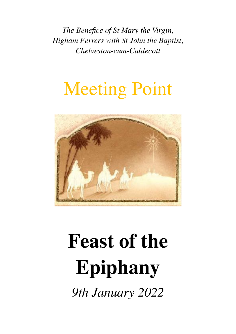*The Benefice of St Mary the Virgin, Higham Ferrers with St John the Baptist, Chelveston-cum-Caldecott*

# Meeting Point



# **Feast of the Epiphany**

*9th January 2022*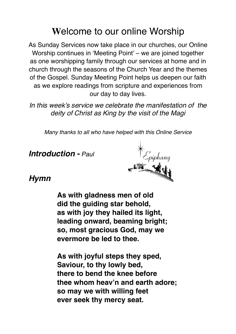# **W**elcome to our online Worship

As Sunday Services now take place in our churches, our Online Worship continues in 'Meeting Point' – we are joined together as one worshipping family through our services at home and in church through the seasons of the Church Year and the themes of the Gospel. Sunday Meeting Point helps us deepen our faith as we explore readings from scripture and experiences from our day to day lives.

*In this week's service we celebrate the manifestation of the deity of Christ as King by the visit of the Magi*

*Many thanks to all who have helped with this Online Service*

*Introduction - Paul*



## *Hymn*

**As with gladness men of old did the guiding star behold, as with joy they hailed its light, leading onward, beaming bright; so, most gracious God, may we evermore be led to thee.**

**As with joyful steps they sped, Saviour, to thy lowly bed, there to bend the knee before thee whom heav'n and earth adore; so may we with willing feet ever seek thy mercy seat.**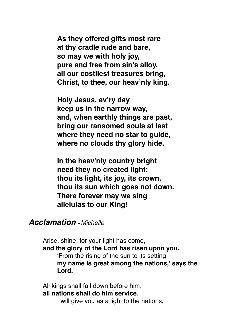**As they offered gifts most rare at thy cradle rude and bare, so may we with holy joy, pure and free from sin's alloy, all our costliest treasures bring, Christ, to thee, our heav'nly king.**

**Holy Jesus, ev'ry day keep us in the narrow way, and, when earthly things are past, bring our ransomed souls at last where they need no star to guide, where no clouds thy glory hide.**

**In the heav'nly country bright need they no created light; thou its light, its joy, its crown, thou its sun which goes not down. There forever may we sing alleluias to our King!**

#### *Acclamation - Michelle*

Arise, shine; for your light has come, **and the glory of the Lord has risen upon you.** 'From the rising of the sun to its setting **my name is great among the nations,' says the Lord.**

All kings shall fall down before him; **all nations shall do him service.**

I will give you as a light to the nations,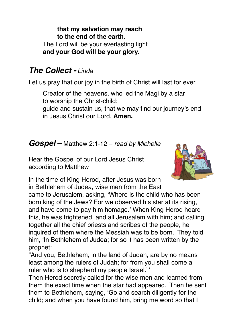**that my salvation may reach to the end of the earth.** The Lord will be your everlasting light **and your God will be your glory.**

# *The Collect - Linda*

Let us pray that our joy in the birth of Christ will last for ever.

Creator of the heavens, who led the Magi by a star to worship the Christ-child:

guide and sustain us, that we may find our journey's end in Jesus Christ our Lord. **Amen.**

# *Gospel* – Matthew 2:1-12 – *read by Michelle*

Hear the Gospel of our Lord Jesus Christ according to Matthew



In the time of King Herod, after Jesus was born in Bethlehem of Judea, wise men from the East

came to Jerusalem, asking, 'Where is the child who has been born king of the Jews? For we observed his star at its rising, and have come to pay him homage.' When King Herod heard this, he was frightened, and all Jerusalem with him; and calling together all the chief priests and scribes of the people, he inquired of them where the Messiah was to be born. They told him, 'In Bethlehem of Judea; for so it has been written by the prophet:

"And you, Bethlehem, in the land of Judah, are by no means least among the rulers of Judah; for from you shall come a ruler who is to shepherd my people Israel."'

Then Herod secretly called for the wise men and learned from them the exact time when the star had appeared. Then he sent them to Bethlehem, saying, 'Go and search diligently for the child; and when you have found him, bring me word so that I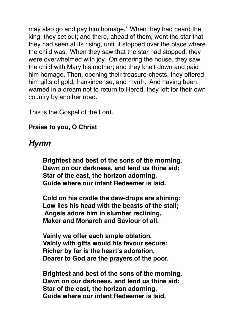may also go and pay him homage.' When they had heard the king, they set out; and there, ahead of them, went the star that they had seen at its rising, until it stopped over the place where the child was. When they saw that the star had stopped, they were overwhelmed with joy. On entering the house, they saw the child with Mary his mother; and they knelt down and paid him homage. Then, opening their treasure-chests, they offered him gifts of gold, frankincense, and myrrh. And having been warned in a dream not to return to Herod, they left for their own country by another road.

This is the Gospel of the Lord.

#### **Praise to you, O Christ**

# *Hymn*

**Brightest and best of the sons of the morning, Dawn on our darkness, and lend us thine aid; Star of the east, the horizon adorning, Guide where our infant Redeemer is laid.** 

**Cold on his cradle the dew-drops are shining; Low lies his head with the beasts of the stall; Angels adore him in slumber reclining, Maker and Monarch and Saviour of all.** 

**Vainly we offer each ample oblation, Vainly with gifts would his favour secure: Richer by far is the heart's adoration, Dearer to God are the prayers of the poor.**

**Brightest and best of the sons of the morning, Dawn on our darkness, and lend us thine aid; Star of the east, the horizon adorning, Guide where our infant Redeemer is laid.**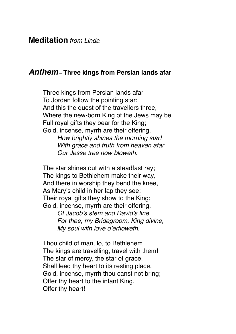#### *Anthem* **– Three kings from Persian lands afar**

Three kings from Persian lands afar To Jordan follow the pointing star: And this the quest of the travellers three, Where the new-born King of the Jews may be. Full royal gifts they bear for the King; Gold, incense, myrrh are their offering. *How brightly shines the morning star! With grace and truth from heaven afar Our Jesse tree now bloweth.*

The star shines out with a steadfast ray; The kings to Bethlehem make their way, And there in worship they bend the knee, As Mary's child in her lap they see; Their royal gifts they show to the King; Gold, incense, myrrh are their offering.

> *Of Jacob's stem and David's line, For thee, my Bridegroom, King divine, My soul with love o'erfloweth.*

Thou child of man, lo, to Bethlehem The kings are travelling, travel with them! The star of mercy, the star of grace, Shall lead thy heart to its resting place. Gold, incense, myrrh thou canst not bring; Offer thy heart to the infant King. Offer thy heart!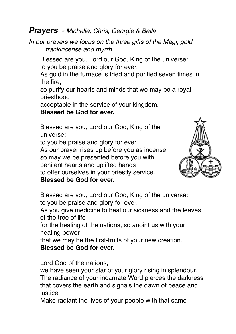#### *Prayers - Michelle, Chris, Georgie & Bella*

*In our prayers we focus on the three gifts of the Magi; gold, frankincense and myrrh.*

Blessed are you, Lord our God, King of the universe: to you be praise and glory for ever.

As gold in the furnace is tried and purified seven times in the fire,

so purify our hearts and minds that we may be a royal priesthood

acceptable in the service of your kingdom.

**Blessed be God for ever.**

Blessed are you, Lord our God, King of the universe:

to you be praise and glory for ever. As our prayer rises up before you as incense, so may we be presented before you with penitent hearts and uplifted hands to offer ourselves in your priestly service. **Blessed be God for ever.**



Blessed are you, Lord our God, King of the universe: to you be praise and glory for ever.

As you give medicine to heal our sickness and the leaves of the tree of life

for the healing of the nations, so anoint us with your healing power

that we may be the first-fruits of your new creation.

**Blessed be God for ever.**

Lord God of the nations,

we have seen your star of your glory rising in splendour. The radiance of your incarnate Word pierces the darkness that covers the earth and signals the dawn of peace and justice.

Make radiant the lives of your people with that same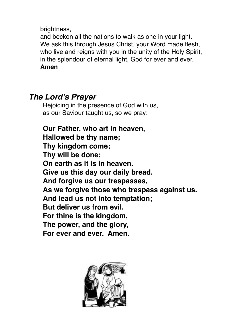brightness,

and beckon all the nations to walk as one in your light. We ask this through Jesus Christ, your Word made flesh, who live and reigns with you in the unity of the Holy Spirit, in the splendour of eternal light, God for ever and ever. **Amen**

# *The Lord's Prayer*

Rejoicing in the presence of God with us, as our Saviour taught us, so we pray:

**Our Father, who art in heaven, Hallowed be thy name; Thy kingdom come; Thy will be done; On earth as it is in heaven. Give us this day our daily bread. And forgive us our trespasses, As we forgive those who trespass against us. And lead us not into temptation; But deliver us from evil. For thine is the kingdom, The power, and the glory, For ever and ever. Amen.**

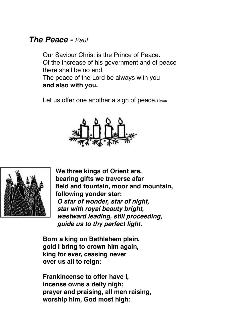# *The Peace - Paul*

Our Saviour Christ is the Prince of Peace. Of the increase of his government and of peace there shall be no end.

The peace of the Lord be always with you **and also with you.**

Let us offer one another a sign of peace.  $H_{Ymn}$ 





**We three kings of Orient are, bearing gifts we traverse afar field and fountain, moor and mountain, following yonder star:** *O star of wonder, star of night, star with royal beauty bright, westward leading, still proceeding, guide us to thy perfect light.*

**Born a king on Bethlehem plain, gold I bring to crown him again, king for ever, ceasing never over us all to reign:**

**Frankincense to offer have I, incense owns a deity nigh; prayer and praising, all men raising, worship him, God most high:**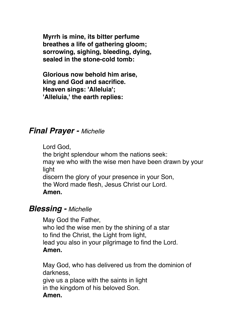**Myrrh is mine, its bitter perfume breathes a life of gathering gloom; sorrowing, sighing, bleeding, dying, sealed in the stone-cold tomb:**

**Glorious now behold him arise, king and God and sacrifice. Heaven sings: 'Alleluia'; 'Alleluia,' the earth replies:**

## *Final Prayer - Michelle*

Lord God, the bright splendour whom the nations seek: may we who with the wise men have been drawn by your light discern the glory of your presence in your Son, the Word made flesh, Jesus Christ our Lord. **Amen.**

#### *Blessing - Michelle*

May God the Father, who led the wise men by the shining of a star to find the Christ, the Light from light, lead you also in your pilgrimage to find the Lord. **Amen.**

May God, who has delivered us from the dominion of darkness, give us a place with the saints in light in the kingdom of his beloved Son. **Amen.**